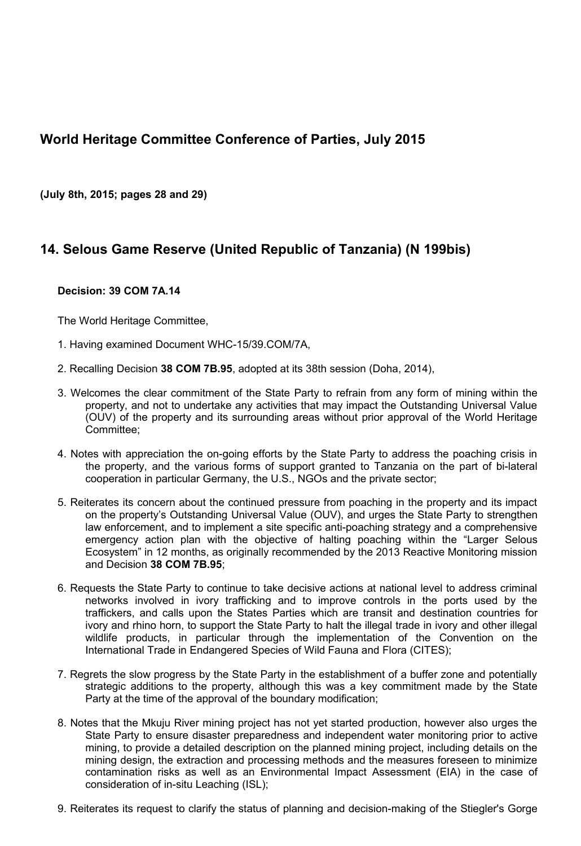## **World Heritage Committee Conference of Parties, July 2015**

**(July 8th, 2015; pages 28 and 29)**

## **14. Selous Game Reserve (United Republic of Tanzania) (N 199bis)**

## **Decision: 39 COM 7A.14**

The World Heritage Committee,

- 1. Having examined Document WHC-15/39.COM/7A,
- 2. Recalling Decision **38 COM 7B.95**, adopted at its 38th session (Doha, 2014),
- 3. Welcomes the clear commitment of the State Party to refrain from any form of mining within the property, and not to undertake any activities that may impact the Outstanding Universal Value (OUV) of the property and its surrounding areas without prior approval of the World Heritage Committee;
- 4. Notes with appreciation the on-going efforts by the State Party to address the poaching crisis in the property, and the various forms of support granted to Tanzania on the part of bi-lateral cooperation in particular Germany, the U.S., NGOs and the private sector;
- 5. Reiterates its concern about the continued pressure from poaching in the property and its impact on the property's Outstanding Universal Value (OUV), and urges the State Party to strengthen law enforcement, and to implement a site specific anti-poaching strategy and a comprehensive emergency action plan with the objective of halting poaching within the "Larger Selous Ecosystem" in 12 months, as originally recommended by the 2013 Reactive Monitoring mission and Decision **38 COM 7B.95**;
- 6. Requests the State Party to continue to take decisive actions at national level to address criminal networks involved in ivory trafficking and to improve controls in the ports used by the traffickers, and calls upon the States Parties which are transit and destination countries for ivory and rhino horn, to support the State Party to halt the illegal trade in ivory and other illegal wildlife products, in particular through the implementation of the Convention on the International Trade in Endangered Species of Wild Fauna and Flora (CITES);
- 7. Regrets the slow progress by the State Party in the establishment of a buffer zone and potentially strategic additions to the property, although this was a key commitment made by the State Party at the time of the approval of the boundary modification;
- 8. Notes that the Mkuju River mining project has not yet started production, however also urges the State Party to ensure disaster preparedness and independent water monitoring prior to active mining, to provide a detailed description on the planned mining project, including details on the mining design, the extraction and processing methods and the measures foreseen to minimize contamination risks as well as an Environmental Impact Assessment (EIA) in the case of consideration of in-situ Leaching (ISL);
- 9. Reiterates its request to clarify the status of planning and decision-making of the Stiegler's Gorge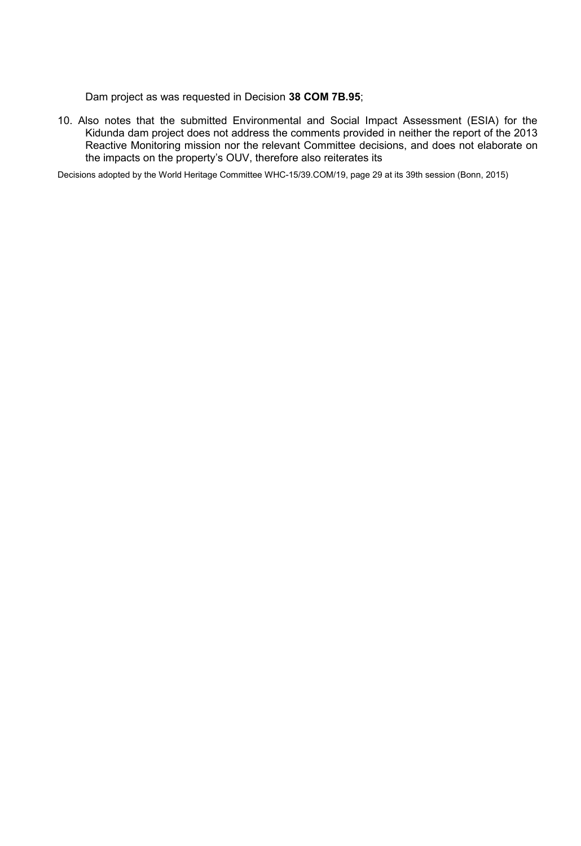Dam project as was requested in Decision **38 COM 7B.95**;

10. Also notes that the submitted Environmental and Social Impact Assessment (ESIA) for the Kidunda dam project does not address the comments provided in neither the report of the 2013 Reactive Monitoring mission nor the relevant Committee decisions, and does not elaborate on the impacts on the property's OUV, therefore also reiterates its

Decisions adopted by the World Heritage Committee WHC-15/39.COM/19, page 29 at its 39th session (Bonn, 2015)